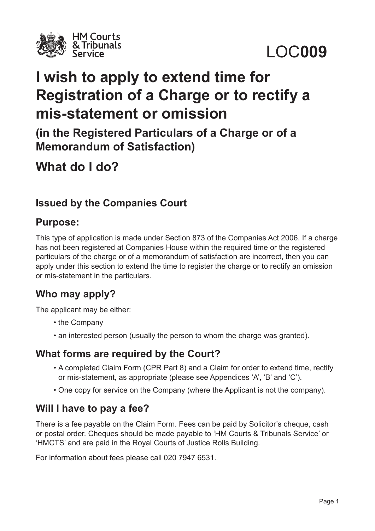

LOC**009**

# **I wish to apply to extend time for Registration of a Charge or to rectify a mis-statement or omission**

**(in the Registered Particulars of a Charge or of a Memorandum of Satisfaction)**

**What do I do?**

# **Issued by the Companies Court**

### **Purpose:**

This type of application is made under Section 873 of the Companies Act 2006. If a charge has not been registered at Companies House within the required time or the registered particulars of the charge or of a memorandum of satisfaction are incorrect, then you can apply under this section to extend the time to register the charge or to rectify an omission or mis-statement in the particulars.

## **Who may apply?**

The applicant may be either:

- the Company
- an interested person (usually the person to whom the charge was granted).

### **What forms are required by the Court?**

- A completed Claim Form (CPR Part 8) and a Claim for order to extend time, rectify or mis-statement, as appropriate (please see Appendices 'A', 'B' and 'C').
- One copy for service on the Company (where the Applicant is not the company).

## **Will I have to pay a fee?**

There is a fee payable on the Claim Form. Fees can be paid by Solicitor's cheque, cash or postal order. Cheques should be made payable to 'HM Courts & Tribunals Service' or 'HMCTS' and are paid in the Royal Courts of Justice Rolls Building.

For information about fees please call 020 7947 6531.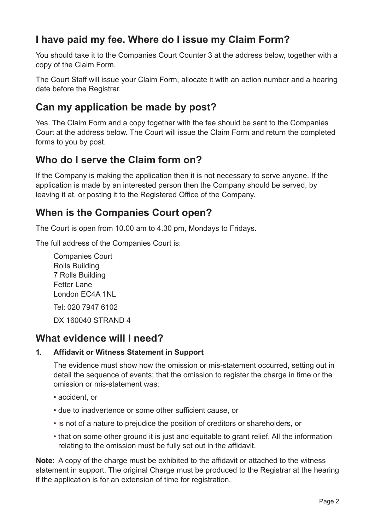# **I have paid my fee. Where do I issue my Claim Form?**

You should take it to the Companies Court Counter 3 at the address below, together with a copy of the Claim Form.

The Court Staff will issue your Claim Form, allocate it with an action number and a hearing date before the Registrar.

## **Can my application be made by post?**

Yes. The Claim Form and a copy together with the fee should be sent to the Companies Court at the address below. The Court will issue the Claim Form and return the completed forms to you by post.

## **Who do I serve the Claim form on?**

If the Company is making the application then it is not necessary to serve anyone. If the application is made by an interested person then the Company should be served, by leaving it at, or posting it to the Registered Office of the Company.

## **When is the Companies Court open?**

The Court is open from 10.00 am to 4.30 pm, Mondays to Fridays.

The full address of the Companies Court is:

Companies Court Rolls Building 7 Rolls Building Fetter Lane London EC4A 1NL Tel: 020 7947 6102

 DX 160040 STRAND 4

### **What evidence will I need?**

#### **1. Affidavit or Witness Statement in Support**

The evidence must show how the omission or mis-statement occurred, setting out in detail the sequence of events; that the omission to register the charge in time or the omission or mis-statement was:

- accident, or
- due to inadvertence or some other sufficient cause, or
- is not of a nature to prejudice the position of creditors or shareholders, or
- that on some other ground it is just and equitable to grant relief. All the information relating to the omission must be fully set out in the affidavit.

**Note:** A copy of the charge must be exhibited to the affidavit or attached to the witness statement in support. The original Charge must be produced to the Registrar at the hearing if the application is for an extension of time for registration.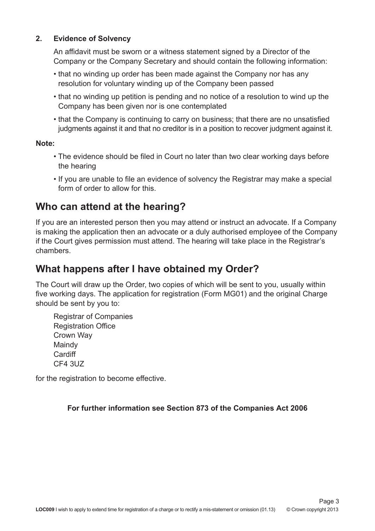#### **2. Evidence of Solvency**

An affidavit must be sworn or a witness statement signed by a Director of the Company or the Company Secretary and should contain the following information:

- that no winding up order has been made against the Company nor has any resolution for voluntary winding up of the Company been passed
- that no winding up petition is pending and no notice of a resolution to wind up the Company has been given nor is one contemplated
- that the Company is continuing to carry on business; that there are no unsatisfied judgments against it and that no creditor is in a position to recover judgment against it.

#### **Note:**

- The evidence should be filed in Court no later than two clear working days before the hearing
- If you are unable to file an evidence of solvency the Registrar may make a special form of order to allow for this.

### **Who can attend at the hearing?**

If you are an interested person then you may attend or instruct an advocate. If a Company is making the application then an advocate or a duly authorised employee of the Company if the Court gives permission must attend. The hearing will take place in the Registrar's chambers.

# **What happens after I have obtained my Order?**

The Court will draw up the Order, two copies of which will be sent to you, usually within five working days. The application for registration (Form MG01) and the original Charge should be sent by you to:

 Registrar of Companies Registration Office Crown Way Maindy **Cardiff** CF4 3UZ

for the registration to become effective.

**For further information see Section 873 of the Companies Act 2006**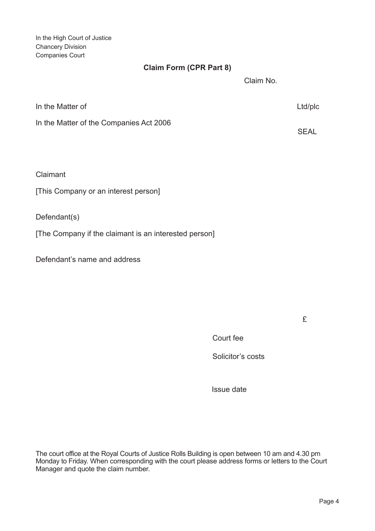In the High Court of Justice Chancery Division Companies Court

#### **Claim Form (CPR Part 8)**

Claim No.

| In the Matter of                        | Ltd/plc |
|-----------------------------------------|---------|
| In the Matter of the Companies Act 2006 | SEAL    |

Claimant

[This Company or an interest person]

Defendant(s)

[The Company if the claimant is an interested person]

Defendant's name and address

£

Court fee

Solicitor's costs

Issue date

The court office at the Royal Courts of Justice Rolls Building is open between 10 am and 4.30 pm Monday to Friday. When corresponding with the court please address forms or letters to the Court Manager and quote the claim number.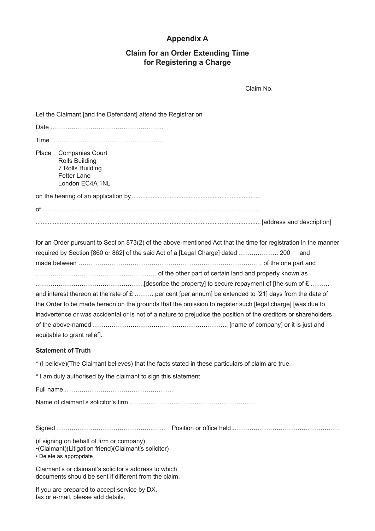#### **Appendix A**

#### **Claim for an Order Extending Time for Registering a Charge**

Claim No.

|           | Let the Claimant [and the Defendant] attend the Registrar on                                                                                                                                                                                                                                                                                                                                                                                                                                                                                       |
|-----------|----------------------------------------------------------------------------------------------------------------------------------------------------------------------------------------------------------------------------------------------------------------------------------------------------------------------------------------------------------------------------------------------------------------------------------------------------------------------------------------------------------------------------------------------------|
|           |                                                                                                                                                                                                                                                                                                                                                                                                                                                                                                                                                    |
|           |                                                                                                                                                                                                                                                                                                                                                                                                                                                                                                                                                    |
| Place     | <b>Companies Court</b><br><b>Rolls Building</b><br>7 Rolls Building<br><b>Fetter Lane</b><br>London EC4A 1NL                                                                                                                                                                                                                                                                                                                                                                                                                                       |
|           |                                                                                                                                                                                                                                                                                                                                                                                                                                                                                                                                                    |
|           |                                                                                                                                                                                                                                                                                                                                                                                                                                                                                                                                                    |
|           |                                                                                                                                                                                                                                                                                                                                                                                                                                                                                                                                                    |
|           | for an Order pursuant to Section 873(2) of the above-mentioned Act that the time for registration in the manner<br>required by Section [860 or 862] of the said Act of a [Legal Charge] dated  200<br>and<br>and interest thereon at the rate of $E$ per cent [per annum] be extended to [21] days from the date of<br>the Order to be made hereon on the grounds that the omission to register such [legal charge] [was due to<br>inadvertence or was accidental or is not of a nature to prejudice the position of the creditors or shareholders |
|           | equitable to grant relief].<br><b>Statement of Truth</b>                                                                                                                                                                                                                                                                                                                                                                                                                                                                                           |
|           | * (I believe) (The Claimant believes) that the facts stated in these particulars of claim are true.                                                                                                                                                                                                                                                                                                                                                                                                                                                |
|           | * I am duly authorised by the claimant to sign this statement                                                                                                                                                                                                                                                                                                                                                                                                                                                                                      |
| Full name |                                                                                                                                                                                                                                                                                                                                                                                                                                                                                                                                                    |
|           |                                                                                                                                                                                                                                                                                                                                                                                                                                                                                                                                                    |
|           |                                                                                                                                                                                                                                                                                                                                                                                                                                                                                                                                                    |
|           | (if signing on behalf of firm or company)<br>•(Claimant)(Litigation friend)(Claimant's solicitor)<br>• Delete as appropriate                                                                                                                                                                                                                                                                                                                                                                                                                       |
|           | Claimant's or claimant's solicitor's address to which<br>documents should be sent if different from the claim.                                                                                                                                                                                                                                                                                                                                                                                                                                     |
|           |                                                                                                                                                                                                                                                                                                                                                                                                                                                                                                                                                    |

If you are prepared to accept service by DX, fax or e-mail, please add details.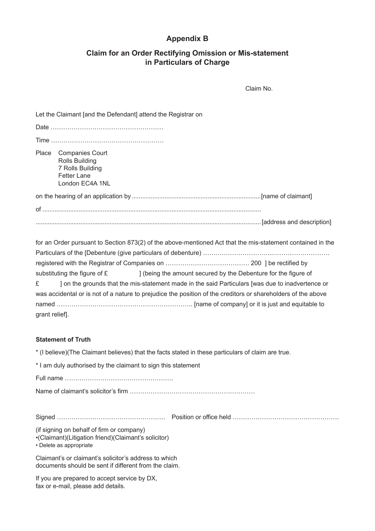#### **Appendix B**

#### **Claim for an Order Rectifying Omission or Mis-statement in Particulars of Charge**

Claim No.

|                     | Let the Claimant [and the Defendant] attend the Registrar on                                                                                                                                                                                                                                                                                                                                                                     |
|---------------------|----------------------------------------------------------------------------------------------------------------------------------------------------------------------------------------------------------------------------------------------------------------------------------------------------------------------------------------------------------------------------------------------------------------------------------|
|                     |                                                                                                                                                                                                                                                                                                                                                                                                                                  |
|                     |                                                                                                                                                                                                                                                                                                                                                                                                                                  |
| Place               | <b>Companies Court</b><br><b>Rolls Building</b><br>7 Rolls Building<br><b>Fetter Lane</b><br>London EC4A 1NL                                                                                                                                                                                                                                                                                                                     |
|                     |                                                                                                                                                                                                                                                                                                                                                                                                                                  |
|                     |                                                                                                                                                                                                                                                                                                                                                                                                                                  |
|                     |                                                                                                                                                                                                                                                                                                                                                                                                                                  |
| £<br>grant relief]. | for an Order pursuant to Section 873(2) of the above-mentioned Act that the mis-statement contained in the<br>substituting the figure of £<br>] (being the amount secured by the Debenture for the figure of<br>] on the grounds that the mis-statement made in the said Particulars [was due to inadvertence or<br>was accidental or is not of a nature to prejudice the position of the creditors or shareholders of the above |
|                     | <b>Statement of Truth</b>                                                                                                                                                                                                                                                                                                                                                                                                        |
|                     | * (I believe) (The Claimant believes) that the facts stated in these particulars of claim are true.                                                                                                                                                                                                                                                                                                                              |
|                     | * I am duly authorised by the claimant to sign this statement                                                                                                                                                                                                                                                                                                                                                                    |
|                     |                                                                                                                                                                                                                                                                                                                                                                                                                                  |
|                     |                                                                                                                                                                                                                                                                                                                                                                                                                                  |
|                     |                                                                                                                                                                                                                                                                                                                                                                                                                                  |
|                     | (if signing on behalf of firm or company)<br>•(Claimant)(Litigation friend)(Claimant's solicitor)<br>• Delete as appropriate                                                                                                                                                                                                                                                                                                     |
|                     | Claimant's or claimant's solicitor's address to which<br>documents should be sent if different from the claim.                                                                                                                                                                                                                                                                                                                   |
|                     | proposal to accord comice by DV                                                                                                                                                                                                                                                                                                                                                                                                  |

If you are prepared to accept service by DX, fax or e-mail, please add details.